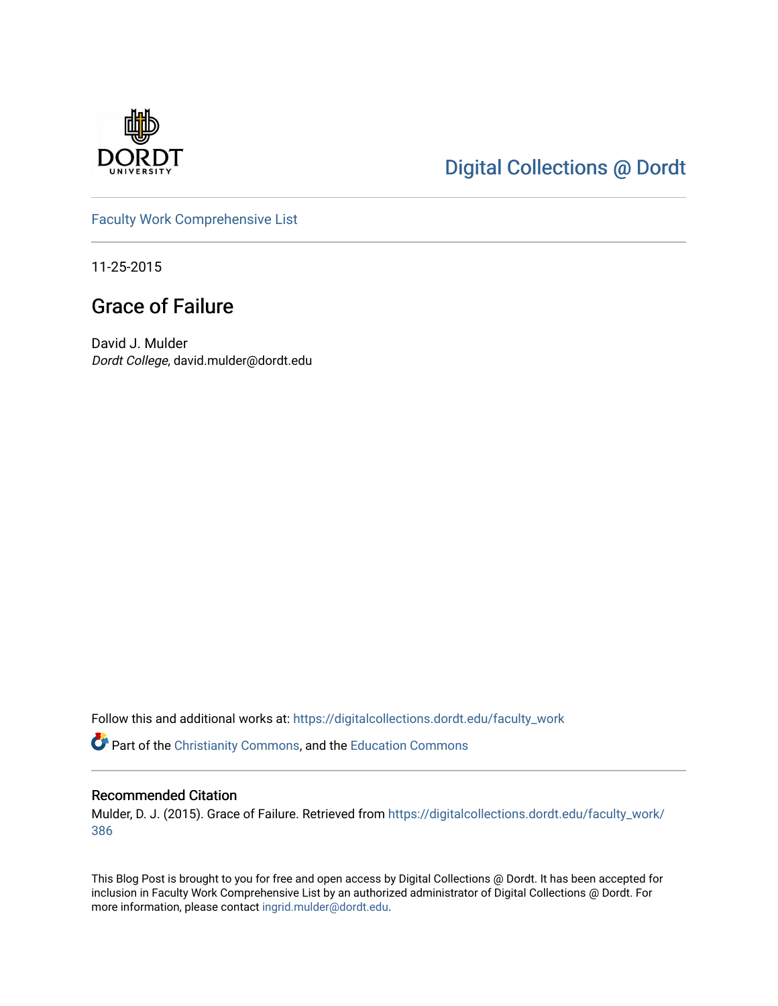

## [Digital Collections @ Dordt](https://digitalcollections.dordt.edu/)

[Faculty Work Comprehensive List](https://digitalcollections.dordt.edu/faculty_work)

11-25-2015

## Grace of Failure

David J. Mulder Dordt College, david.mulder@dordt.edu

Follow this and additional works at: [https://digitalcollections.dordt.edu/faculty\\_work](https://digitalcollections.dordt.edu/faculty_work?utm_source=digitalcollections.dordt.edu%2Ffaculty_work%2F386&utm_medium=PDF&utm_campaign=PDFCoverPages) 

Part of the [Christianity Commons,](http://network.bepress.com/hgg/discipline/1181?utm_source=digitalcollections.dordt.edu%2Ffaculty_work%2F386&utm_medium=PDF&utm_campaign=PDFCoverPages) and the [Education Commons](http://network.bepress.com/hgg/discipline/784?utm_source=digitalcollections.dordt.edu%2Ffaculty_work%2F386&utm_medium=PDF&utm_campaign=PDFCoverPages) 

#### Recommended Citation

Mulder, D. J. (2015). Grace of Failure. Retrieved from [https://digitalcollections.dordt.edu/faculty\\_work/](https://digitalcollections.dordt.edu/faculty_work/386?utm_source=digitalcollections.dordt.edu%2Ffaculty_work%2F386&utm_medium=PDF&utm_campaign=PDFCoverPages) [386](https://digitalcollections.dordt.edu/faculty_work/386?utm_source=digitalcollections.dordt.edu%2Ffaculty_work%2F386&utm_medium=PDF&utm_campaign=PDFCoverPages) 

This Blog Post is brought to you for free and open access by Digital Collections @ Dordt. It has been accepted for inclusion in Faculty Work Comprehensive List by an authorized administrator of Digital Collections @ Dordt. For more information, please contact [ingrid.mulder@dordt.edu.](mailto:ingrid.mulder@dordt.edu)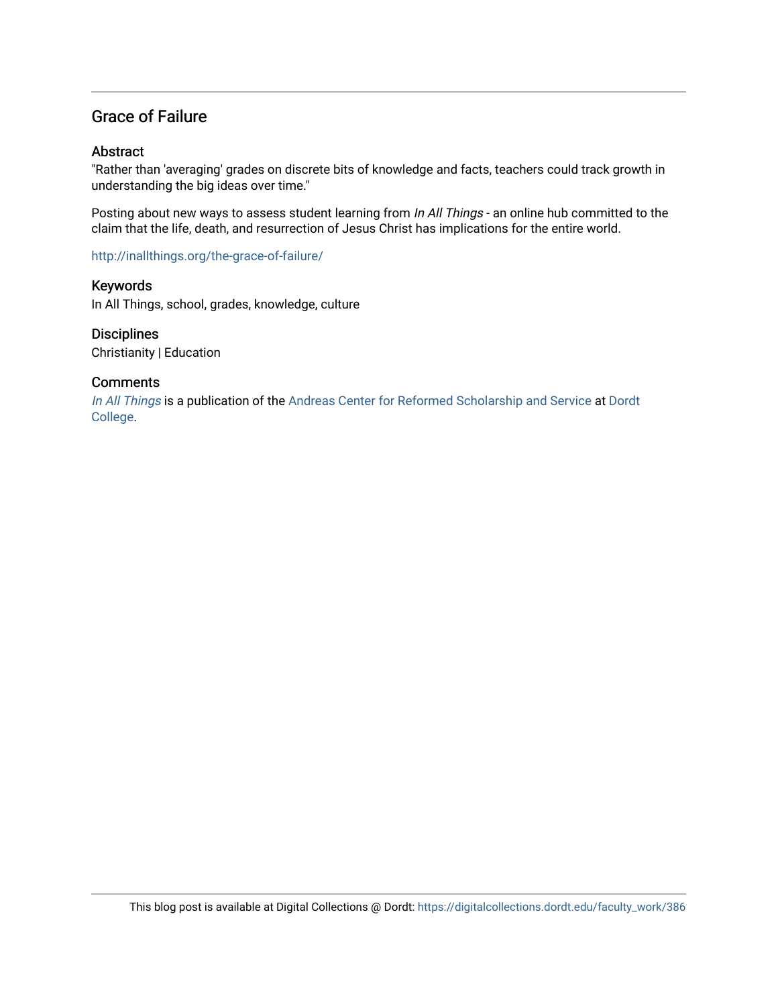### Grace of Failure

#### **Abstract**

"Rather than 'averaging' grades on discrete bits of knowledge and facts, teachers could track growth in understanding the big ideas over time."

Posting about new ways to assess student learning from In All Things - an online hub committed to the claim that the life, death, and resurrection of Jesus Christ has implications for the entire world.

<http://inallthings.org/the-grace-of-failure/>

Keywords In All Things, school, grades, knowledge, culture

**Disciplines** Christianity | Education

#### **Comments**

[In All Things](http://inallthings.org/) is a publication of the [Andreas Center for Reformed Scholarship and Service](http://www.dordt.edu/services_support/andreas_center/) at Dordt [College](http://www.dordt.edu/).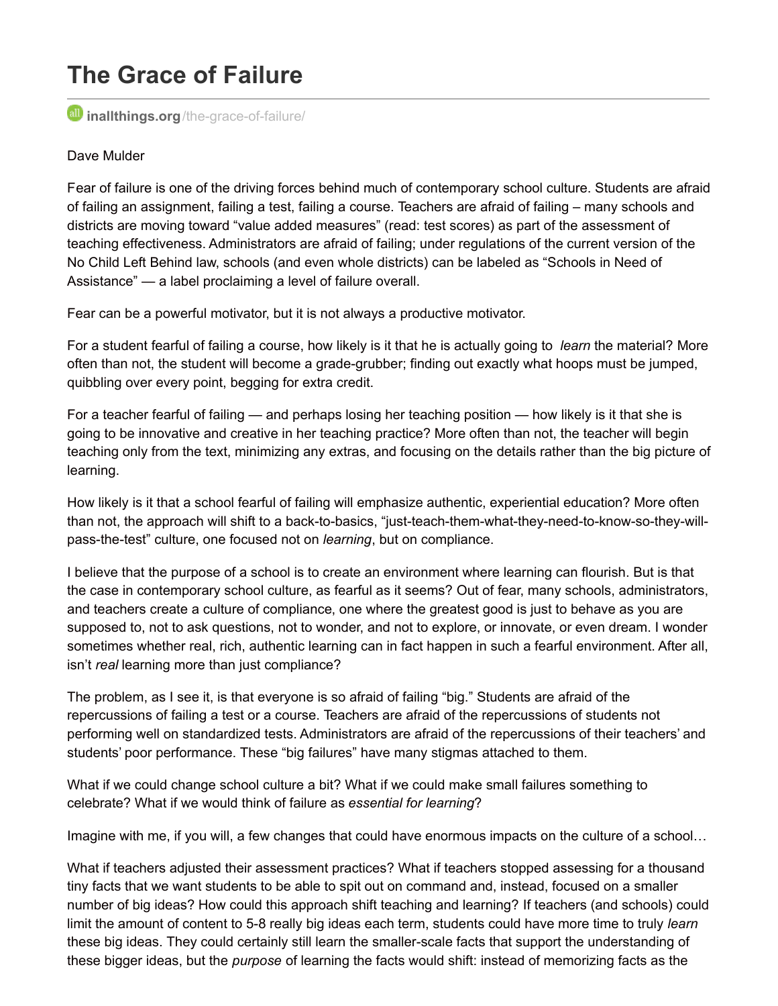# **The Grace of Failure**

*inallthings.org[/the-grace-of-failure/](http://inallthings.org/the-grace-of-failure/)* 

#### Dave Mulder

Fear of failure is one of the driving forces behind much of contemporary school culture. Students are afraid of failing an assignment, failing a test, failing a course. Teachers are afraid of failing – many schools and districts are moving toward "value added measures" (read: test scores) as part of the assessment of teaching effectiveness. Administrators are afraid of failing; under regulations of the current version of the No Child Left Behind law, schools (and even whole districts) can be labeled as "Schools in Need of Assistance" — a label proclaiming a level of failure overall.

Fear can be a powerful motivator, but it is not always a productive motivator.

For a student fearful of failing a course, how likely is it that he is actually going to *learn* the material? More often than not, the student will become a grade-grubber; finding out exactly what hoops must be jumped, quibbling over every point, begging for extra credit.

For a teacher fearful of failing — and perhaps losing her teaching position — how likely is it that she is going to be innovative and creative in her teaching practice? More often than not, the teacher will begin teaching only from the text, minimizing any extras, and focusing on the details rather than the big picture of learning.

How likely is it that a school fearful of failing will emphasize authentic, experiential education? More often than not, the approach will shift to a back-to-basics, "just-teach-them-what-they-need-to-know-so-they-willpass-the-test" culture, one focused not on *learning*, but on compliance.

I believe that the purpose of a school is to create an environment where learning can flourish. But is that the case in contemporary school culture, as fearful as it seems? Out of fear, many schools, administrators, and teachers create a culture of compliance, one where the greatest good is just to behave as you are supposed to, not to ask questions, not to wonder, and not to explore, or innovate, or even dream. I wonder sometimes whether real, rich, authentic learning can in fact happen in such a fearful environment. After all, isn't *real* learning more than just compliance?

The problem, as I see it, is that everyone is so afraid of failing "big." Students are afraid of the repercussions of failing a test or a course. Teachers are afraid of the repercussions of students not performing well on standardized tests. Administrators are afraid of the repercussions of their teachers' and students' poor performance. These "big failures" have many stigmas attached to them.

What if we could change school culture a bit? What if we could make small failures something to celebrate? What if we would think of failure as *essential for learning*?

Imagine with me, if you will, a few changes that could have enormous impacts on the culture of a school…

What if teachers adjusted their assessment practices? What if teachers stopped assessing for a thousand tiny facts that we want students to be able to spit out on command and, instead, focused on a smaller number of big ideas? How could this approach shift teaching and learning? If teachers (and schools) could limit the amount of content to 5-8 really big ideas each term, students could have more time to truly *learn* these big ideas. They could certainly still learn the smaller-scale facts that support the understanding of these bigger ideas, but the *purpose* of learning the facts would shift: instead of memorizing facts as the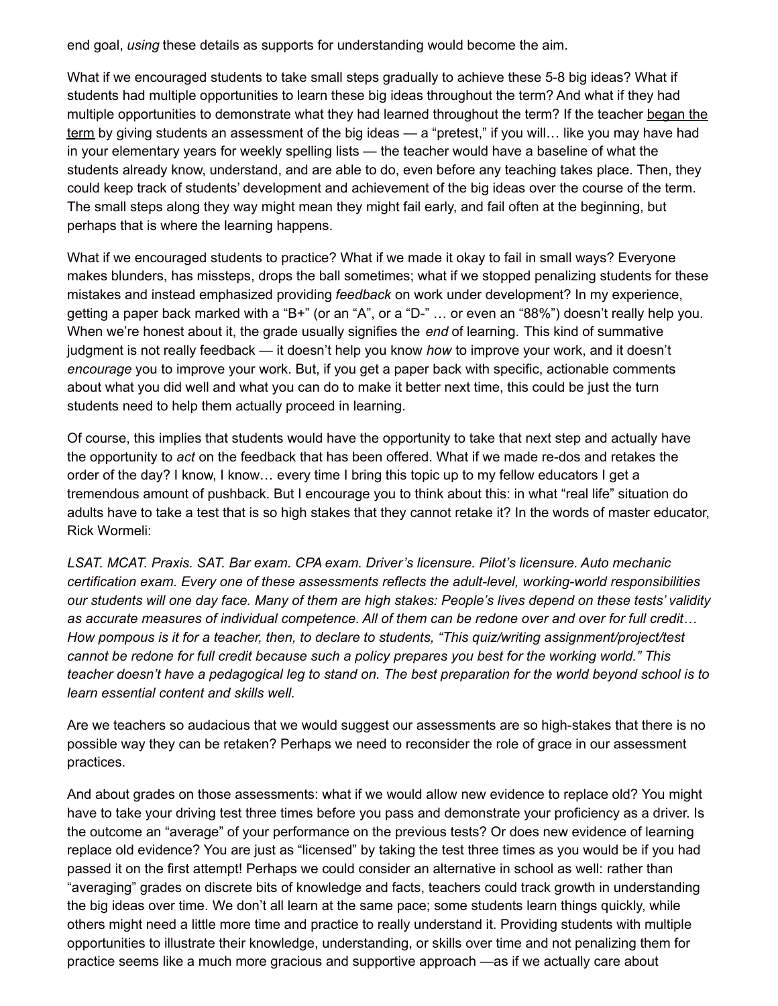end goal, *using* these details as supports for understanding would become the aim.

What if we encouraged students to take small steps gradually to achieve these 5-8 big ideas? What if students had multiple opportunities to learn these big ideas throughout the term? And what if they had multiple opportunities to demonstrate what they had learned throughout the term? If the teacher began the term by giving students an assessment of the big ideas — a "pretest," if you will... like you may have had in your elementary years for weekly spelling lists — the teacher would have a baseline of what the students already know, understand, and are able to do, even before any teaching takes place. Then, they could keep track of students' development and achievement of the big ideas over the course of the term. The small steps along they way might mean they might fail early, and fail often at the beginning, but perhaps that is where the learning happens.

What if we encouraged students to practice? What if we made it okay to fail in small ways? Everyone makes blunders, has missteps, drops the ball sometimes; what if we stopped penalizing students for these mistakes and instead emphasized providing *feedback* on work under development? In my experience, getting a paper back marked with a "B+" (or an "A", or a "D-" … or even an "88%") doesn't really help you. When we're honest about it, the grade usually signifies the *end* of learning. This kind of summative judgment is not really feedback — it doesn't help you know *how* to improve your work, and it doesn't *encourage* you to improve your work. But, if you get a paper back with specific, actionable comments about what you did well and what you can do to make it better next time, this could be just the turn students need to help them actually proceed in learning.

Of course, this implies that students would have the opportunity to take that next step and actually have the opportunity to *act* on the feedback that has been offered. What if we made re-dos and retakes the order of the day? I know, I know… every time I bring this topic up to my fellow educators I get a tremendous amount of pushback. But I encourage you to think about this: in what "real life" situation do adults have to take a test that is so high stakes that they cannot retake it? In the words of master educator, Rick Wormeli:

*LSAT. MCAT. Praxis. SAT. Bar exam. CPA exam. Driver's licensure. Pilot's licensure. Auto mechanic certification exam. Every one of these assessments reflects the adult-level, working-world responsibilities* our students will one day face. Many of them are high stakes: People's lives depend on these tests' validity as accurate measures of individual competence. All of them can be redone over and over for full credit... *How pompous is it for a teacher, then, to declare to students, "This quiz/writing assignment/project/test* cannot be redone for full credit because such a policy prepares you best for the working world." This teacher doesn't have a pedagogical leg to stand on. The best preparation for the world beyond school is to *learn essential content and skills well.*

Are we teachers so audacious that we would suggest our assessments are so high-stakes that there is no possible way they can be retaken? Perhaps we need to reconsider the role of grace in our assessment practices.

And about grades on those assessments: what if we would allow new evidence to replace old? You might have to take your driving test three times before you pass and demonstrate your proficiency as a driver. Is the outcome an "average" of your performance on the previous tests? Or does new evidence of learning replace old evidence? You are just as "licensed" by taking the test three times as you would be if you had passed it on the first attempt! Perhaps we could consider an alternative in school as well: rather than "averaging" grades on discrete bits of knowledge and facts, teachers could track growth in understanding the big ideas over time. We don't all learn at the same pace; some students learn things quickly, while others might need a little more time and practice to really understand it. Providing students with multiple opportunities to illustrate their knowledge, understanding, or skills over time and not penalizing them for practice seems like a much more gracious and supportive approach —as if we actually care about